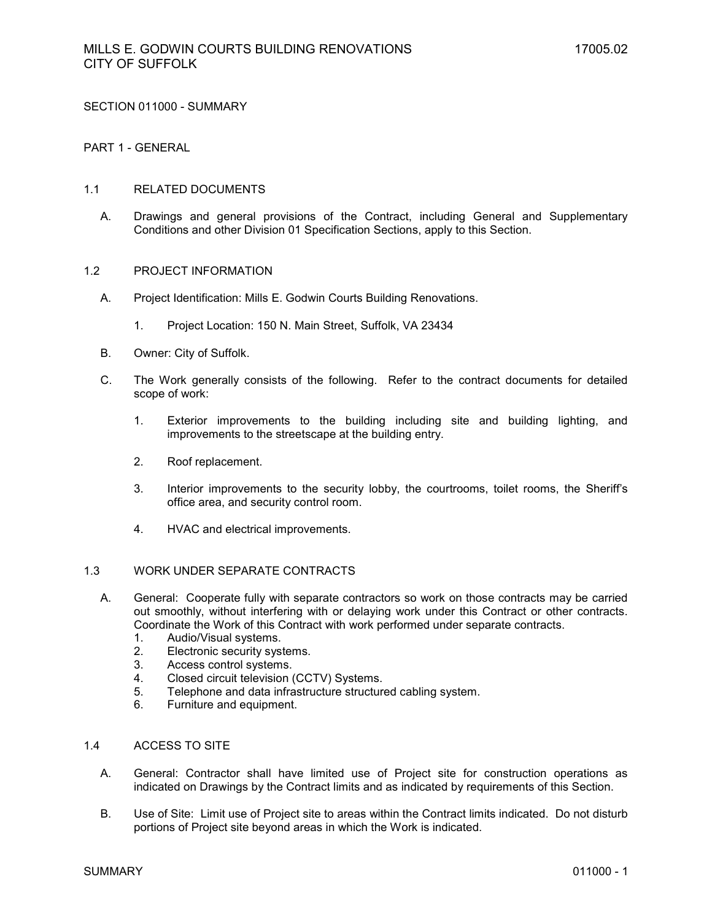SECTION 011000 - SUMMARY

## PART 1 - GENERAL

#### 1.1 RELATED DOCUMENTS

A. Drawings and general provisions of the Contract, including General and Supplementary Conditions and other Division 01 Specification Sections, apply to this Section.

#### 1.2 PROJECT INFORMATION

- A. Project Identification: Mills E. Godwin Courts Building Renovations.
	- 1. Project Location: 150 N. Main Street, Suffolk, VA 23434
- B. Owner: City of Suffolk.
- C. The Work generally consists of the following. Refer to the contract documents for detailed scope of work:
	- 1. Exterior improvements to the building including site and building lighting, and improvements to the streetscape at the building entry.
	- 2. Roof replacement.
	- 3. Interior improvements to the security lobby, the courtrooms, toilet rooms, the Sheriff's office area, and security control room.
	- 4. HVAC and electrical improvements.

## 1.3 WORK UNDER SEPARATE CONTRACTS

- A. General: Cooperate fully with separate contractors so work on those contracts may be carried out smoothly, without interfering with or delaying work under this Contract or other contracts. Coordinate the Work of this Contract with work performed under separate contracts.
	- 1. Audio/Visual systems.
	- 2. Electronic security systems.
	- 3. Access control systems.
	- 4. Closed circuit television (CCTV) Systems.<br>5. Telephone and data infrastructure structure
	- Telephone and data infrastructure structured cabling system.
	- 6. Furniture and equipment.

#### 1.4 ACCESS TO SITE

- A. General: Contractor shall have limited use of Project site for construction operations as indicated on Drawings by the Contract limits and as indicated by requirements of this Section.
- B. Use of Site: Limit use of Project site to areas within the Contract limits indicated. Do not disturb portions of Project site beyond areas in which the Work is indicated.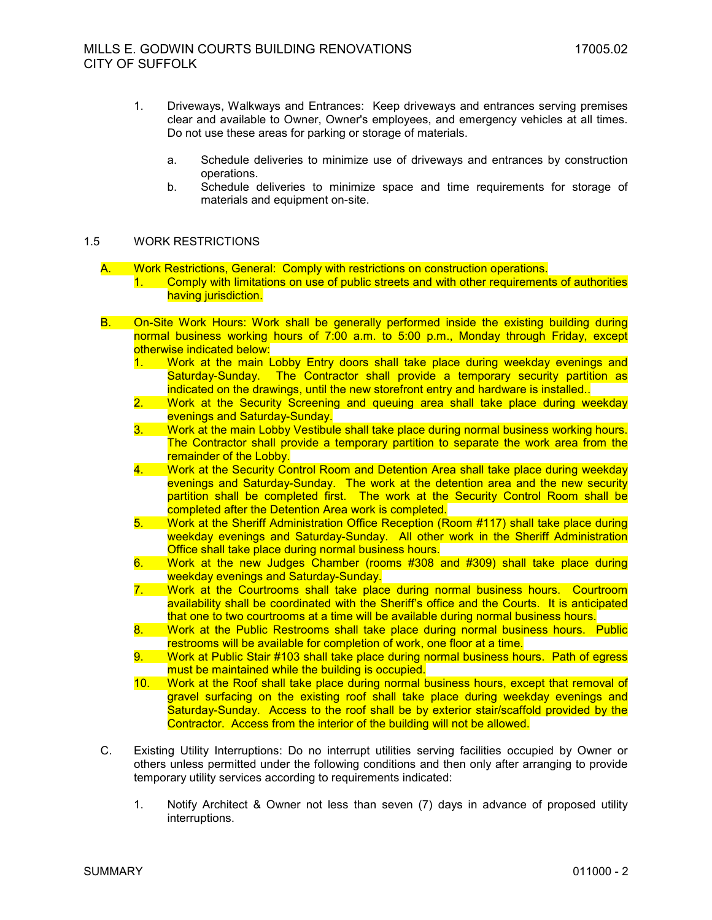- 1. Driveways, Walkways and Entrances: Keep driveways and entrances serving premises clear and available to Owner, Owner's employees, and emergency vehicles at all times. Do not use these areas for parking or storage of materials.
	- a. Schedule deliveries to minimize use of driveways and entrances by construction operations.
	- b. Schedule deliveries to minimize space and time requirements for storage of materials and equipment on-site.

## 1.5 WORK RESTRICTIONS

A. Work Restrictions, General: Comply with restrictions on construction operations. 1. Comply with limitations on use of public streets and with other requirements of authorities having jurisdiction.

- B. On-Site Work Hours: Work shall be generally performed inside the existing building during normal business working hours of 7:00 a.m. to 5:00 p.m., Monday through Friday, except otherwise indicated below:
	- 1. Work at the main Lobby Entry doors shall take place during weekday evenings and Saturday-Sunday. The Contractor shall provide a temporary security partition as indicated on the drawings, until the new storefront entry and hardware is installed..
	- 2. Work at the Security Screening and queuing area shall take place during weekday evenings and Saturday-Sunday.
	- 3. Work at the main Lobby Vestibule shall take place during normal business working hours. The Contractor shall provide a temporary partition to separate the work area from the remainder of the Lobby.
	- 4. Work at the Security Control Room and Detention Area shall take place during weekday evenings and Saturday-Sunday. The work at the detention area and the new security partition shall be completed first. The work at the Security Control Room shall be completed after the Detention Area work is completed.
	- 5. Work at the Sheriff Administration Office Reception (Room #117) shall take place during weekday evenings and Saturday-Sunday. All other work in the Sheriff Administration Office shall take place during normal business hours.
	- 6. Work at the new Judges Chamber (rooms #308 and #309) shall take place during weekday evenings and Saturday-Sunday.
	- 7. Work at the Courtrooms shall take place during normal business hours. Courtroom availability shall be coordinated with the Sheriff's office and the Courts. It is anticipated that one to two courtrooms at a time will be available during normal business hours.
	- 8. Work at the Public Restrooms shall take place during normal business hours. Public restrooms will be available for completion of work, one floor at a time.
	- 9. Work at Public Stair #103 shall take place during normal business hours. Path of egress must be maintained while the building is occupied.
	- 10. Work at the Roof shall take place during normal business hours, except that removal of gravel surfacing on the existing roof shall take place during weekday evenings and Saturday-Sunday. Access to the roof shall be by exterior stair/scaffold provided by the Contractor. Access from the interior of the building will not be allowed.
- C. Existing Utility Interruptions: Do no interrupt utilities serving facilities occupied by Owner or others unless permitted under the following conditions and then only after arranging to provide temporary utility services according to requirements indicated:
	- 1. Notify Architect & Owner not less than seven (7) days in advance of proposed utility interruptions.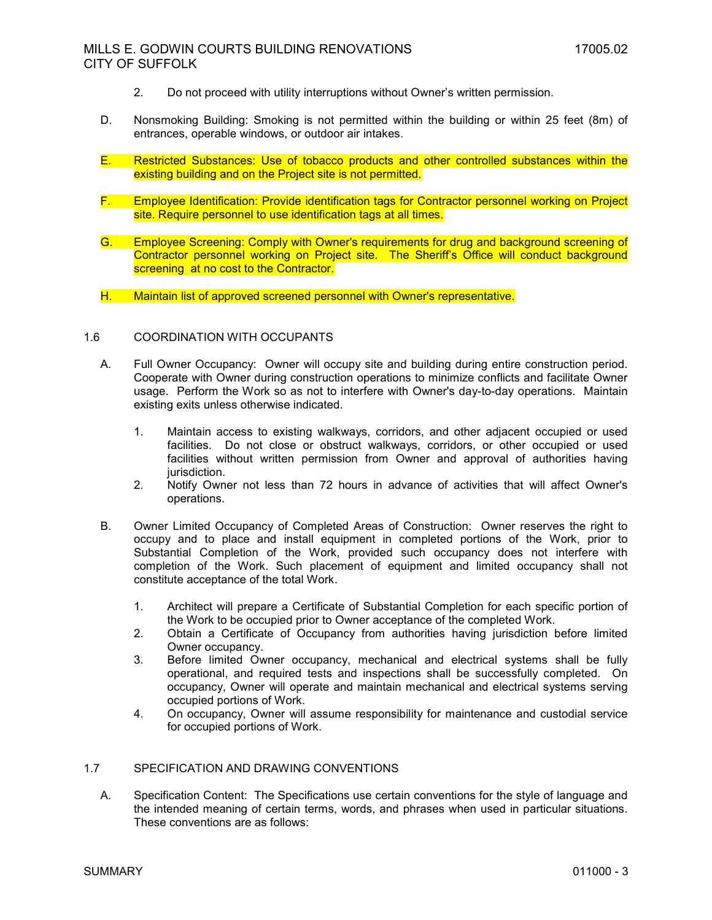# MILLS E. GODWIN COURTS BUILDING RENOVATIONS 17005.02 CITY OF SUFFOLK

- 2. Do not proceed with utility interruptions without Owner's written permission.
- D. Nonsmoking Building: Smoking is not permitted within the building or within 25 feet (8m) of entrances, operable windows, or outdoor air intakes.
- E. Restricted Substances: Use of tobacco products and other controlled substances within the existing building and on the Project site is not permitted.
- F. Employee Identification: Provide identification tags for Contractor personnel working on Project site. Require personnel to use identification tags at all times.
- G. Employee Screening: Comply with Owner's requirements for drug and background screening of Contractor personnel working on Project site. The Sheriff's Office will conduct background screening at no cost to the Contractor.
- H. Maintain list of approved screened personnel with Owner's representative.

## 1.6 COORDINATION WITH OCCUPANTS

- A. Full Owner Occupancy: Owner will occupy site and building during entire construction period. Cooperate with Owner during construction operations to minimize conflicts and facilitate Owner usage. Perform the Work so as not to interfere with Owner's day-to-day operations. Maintain existing exits unless otherwise indicated.
	- 1. Maintain access to existing walkways, corridors, and other adjacent occupied or used facilities. Do not close or obstruct walkways, corridors, or other occupied or used facilities without written permission from Owner and approval of authorities having jurisdiction.
	- 2. Notify Owner not less than 72 hours in advance of activities that will affect Owner's operations.
- B. Owner Limited Occupancy of Completed Areas of Construction: Owner reserves the right to occupy and to place and install equipment in completed portions of the Work, prior to Substantial Completion of the Work, provided such occupancy does not interfere with completion of the Work. Such placement of equipment and limited occupancy shall not constitute acceptance of the total Work.
	- 1. Architect will prepare a Certificate of Substantial Completion for each specific portion of the Work to be occupied prior to Owner acceptance of the completed Work.
	- 2. Obtain a Certificate of Occupancy from authorities having jurisdiction before limited Owner occupancy.
	- 3. Before limited Owner occupancy, mechanical and electrical systems shall be fully operational, and required tests and inspections shall be successfully completed. On occupancy, Owner will operate and maintain mechanical and electrical systems serving occupied portions of Work.
	- 4. On occupancy, Owner will assume responsibility for maintenance and custodial service for occupied portions of Work.

## 1.7 SPECIFICATION AND DRAWING CONVENTIONS

A. Specification Content: The Specifications use certain conventions for the style of language and the intended meaning of certain terms, words, and phrases when used in particular situations. These conventions are as follows: